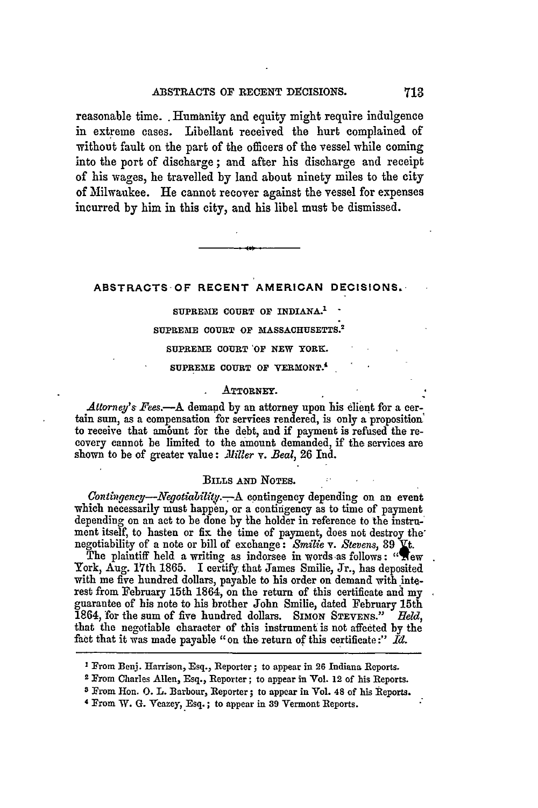reasonable time. Humanity and equity might require indulgence in extreme cases. Libellant received the hurt complained of without fault on the part of the officers of the vessel while coming into the port of discharge ; and after his discharge and receipt of his wages, he travelled **by** land about ninety miles to the city of Milwaukee. He cannot recover against the vessel for expenses incurred **by** him in this city, and his libel must be dismissed.

# **ABSTRACTS-OF RECENT AMERICAN DECISIONS.**

## **SUPREME COURT OF INDIANA.'**

#### **SUPREME COURT OF MASSACHUSETTS. <sup>2</sup>**

## **SUPREME COURT "OF NEW YORK.**

## **SUPREME COURT OF VERMONT.-**

#### **ATTORNEY.**

*Attorney's Fees.*—A demand by an attorney upon his client for a certain sum, as a compensation for services rendered, is only a proposition. to receive that amount for the debt, and if payment is refused the re-<br>covery cannot be limited to the amount demanded, if the services are<br>shown to be of greater value: *Niller* v. *Beal*, 26 Ind.

## **BILLS AND** NOTES.

*Contingency-Negotiability.*-A contingency depending on an event which necessarily must happen, or a contingency as to time of payment depending on an act to be done by the holder in reference to the instrument itself, to hasten or fix the time of payment, does not destroy the negotiability of a note or bill of exchange: *Smilie v. Stevens,* **39** Yt.

The plaintiff held a writing as indorsee in words as follows:  $\mathbf{w}_s = \mathbf{w}_s$ York, Aug. 17th 1865. I certify that James Smilie, Jr., has deposited with me five hundred dollars, payable to his order on demand with interest from February 15th 1864, on the return of this certificate and my guarantee of his note to his brother John Smilie, dated February 15th 1864, for the sum of five hundred dollars. **SIMON STEVENS."** *Held,* that the negotiable character of this instrument is not affected by the fact that it was made payable *"on* the return of this certificate:" *Id.*

**I** From **Benj.** Harrison, Esq., Reporter; to appear in **26** Indiana Reports.

<sup>2</sup> From Charles Allen, Esq., Reporter ; to appear in Vol. 12 of his Reports.

**<sup>3</sup>** From Hon. **0.** L. Barbour, Reporter; to appear in Vol. 48 of **his** Reports.

**<sup>4</sup>** From W. **G.** Veazey, Esq.; to appear in **39** Vermont Reports.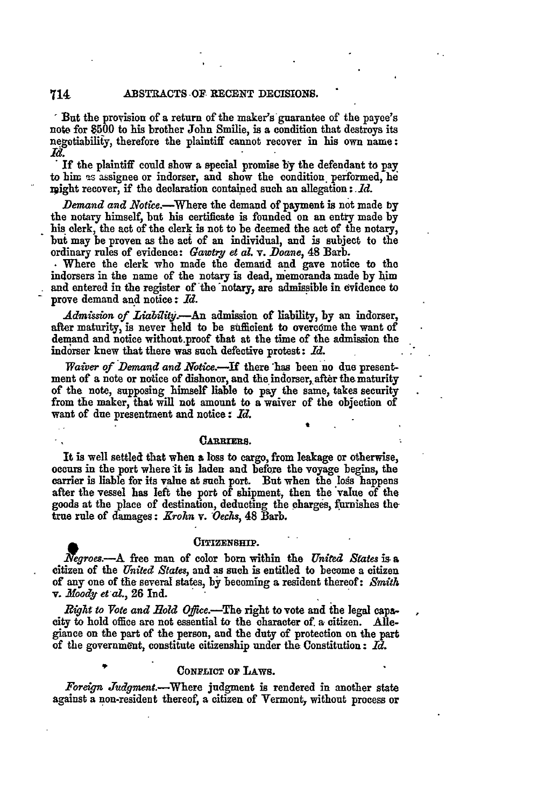**-** But the provision of a return of the maker's guarantee of the payee's note for **650D** to his brother John Smilie, is a condition that destroys its negotiability, therefore the plaintiff cannot recover in his own name: *Id.*

**If** the plaintiff could show a special promise **By** the defendant to pay to him as assignee or indorser, and show the condition. performed, **hi** right recover, if the declaration contained such an allegation: *Id.* 

*Demand and* .Notice.-Where the demand of payment is not made **by** the notary himself, but his certificate is founded on an entry made **by** his clerk, the act of the clerk is not to be deemed the act of the notary, but may be proven as the act of an individual, and is subject to the ordinary rules of evidence: Gawtry et al. v. Doane, 48 Barb.

. Where the clerk who made the demand and gave notice to the indorsers in the name of the notary is dead, memoranda made **by** him and entered in the register of 'the \*notary, are admissible in evidence to prove demand and notice **:** *Id.*

Admission of Liability.--An admission of liability, by an indorser, after maturity, is never held to be sufficient to overcome the want of demand and notice without.proof that at the time of the admission the indorser knew that there was such defective protest: *Id.*

*Vaiver of Demand and Notice.*-If there has been no due presentment of a note or notice of dishonor, and the indorser, after the maturity of the note, supposing himself liable to **pay** the same, takes security from the maker, that will not amount to a waiver of the objection of want of due presentment and notice: *Id.* **<sup>t</sup>**

#### CARRIERS.

It is well settled that when **a** loss to cargo, from leakage or otherwise, occurs in the port where it is laden and before the voyage begins, the carrier is liable for its value at such port. But when the loss happens after the vessel has left the port of shipment, then the 'value of the goods at the place of destination, deducting the charges, furnishes the true rule of damages: *Krohn v. Oechs*, 48 Barb.

#### **CITIZENSHIP.**

*Aegroes.*—A free man of color born within the *United States* is a citizen of the *United States*, and as such is entitled to become a citizen of any one of the several states, **by** becoming a resident thereof: *Smith v. foody etal.,* **26** Ind.

*Right to Vote and Bold Offlce.-The* right to vote and the legal capacity to hold office **arc** not essential **to** the character of. a. citizen. Allegiance on the part of the person, and the duty of protection on the part of the government, constitute citizenship under the Constitution: *Id.*

## CONFLICT OF LAWS.

Foreign Judgment.--Where judgment is rendered in another state against a non-resident thereof, a citizen of Vermont, without process or

714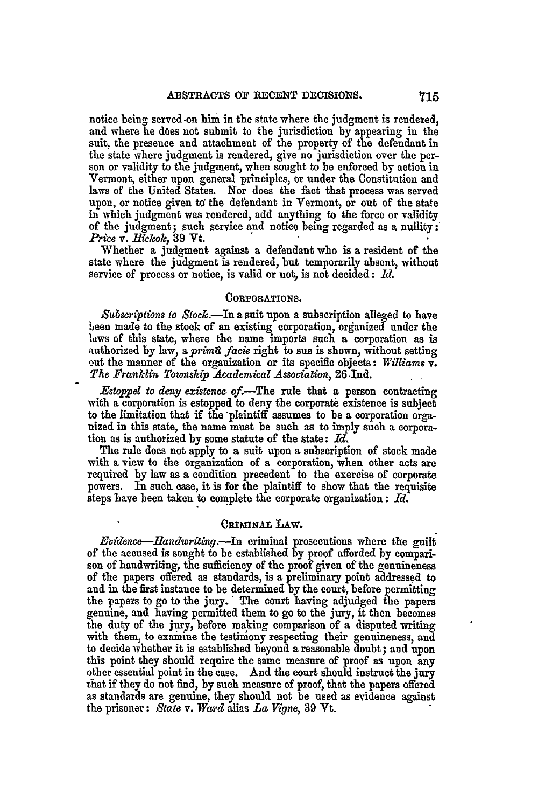notice being served -on him in the state where the judgment is rendered, and where he does not submit to the jurisdiction **by** appearing in the suit, the presence and attachment of the property of the defendant in the state where judgment is rendered, give no jurisdiction over the person or validity to the judgment, when sought to be enforced by action in Vermont, either upon general principles, or under the Constitution and laws of the United States. Nor does the fact that process was served upon, or notice given to the defendant in Vermont, or out of the state in which judgment was rendered, add anything to the force or validity of the judgment; such service and notice being regarded as a nullity:' *Price v. Rickok,* **39** Vt.

Whether a judgment against a defendant who is a resident of the state where the judgment is rendered, but temporarily absent, without service of process or notice, is valid or not, is not decided: *Id.*

## **CORPORATIONS.**

*Subscriptions to Stock.-In* a suit upon a subscription alleged to have been made to the stock of an existing corporation, organized under the laws of this state, where the name imports such a corporation as is authorized by law, a *prima facie* right to sue is shown, without setting out the manner of the organization or its specific objects: *Williams* v. *The Franklin Townshl@ Academical Association,* **26** -Ind.

*Estoppel to deny existence of*.—The rule that a person contracting with a corporation is estopped to deny the corporate existence is subject to the limitation that if the plaintiff assumes to be a corporation organized in this state, the name must be such as to imply such a corporation as is authorized **by** some statute of the state: *d.*

The rule does not apply to a suit upon a subscription of stock made with a view to the organization of a corporation, when other acts are required **by** law as a condition precedent to the exercise of corporate powers. In such case, it is for the plaintiff to show that the requisite steps have been taken to complete the corporate organization: *Id.*

## **CRIMINAL LAW.**

*Evidence-Handwriting.*-In criminal prosecutions where the guilt of the accused is sought to be established **by** proof afforded **by** comparison of handwriting, the sufficiency of the proof given of the genuineness of the papers offered as standards, is a preliminary point addressed to and in the first instance to be determined by the court, before permitting the **papers** to go to the **jury.** The court having adjudged the papers **genuine, and having permitted them to go to the jury, it then becomes** the duty of the jury, before making comparison of a disputed writing with them, **to examine the testimony** respecting **their genuineness,** and **to decide whether** it is **established beyond a reasonable dout; and upon** to decide whether it is established beyond a reasonable doubt; and upon this point they should require the same measure of proof as upon any **other** essential point **in** the case. **And** the court **should** instruct the jury that if they do not find, **by** such measure of proof, that the papers offered as standards are genuine, they should not be used as evidence against the prisoner: State *v. Ward* alias *La Vigne,* **39** Vt.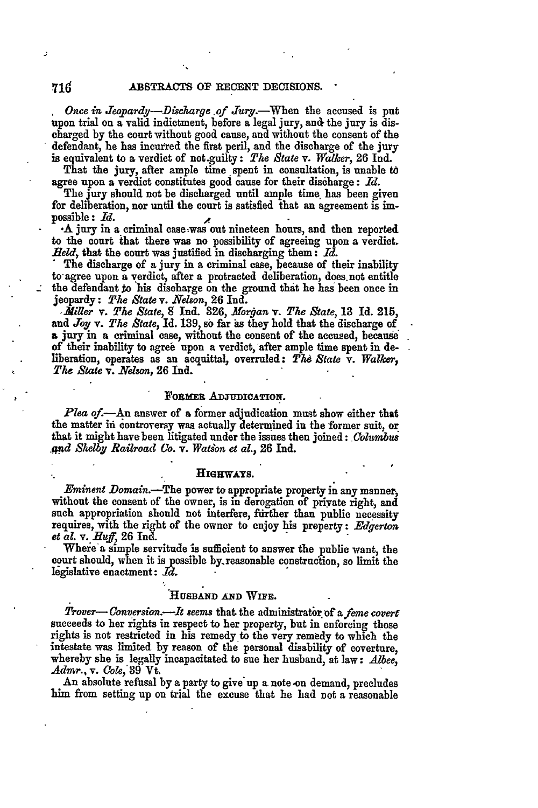*Once in Jeopardy--Discharge of Jury.*-When the accused is put upon trial on a valid indictment, before a legal jury, and the jury is discharged **by** the court without good cause, and without the consent of the defendant, he has incurred the first peril, and the discharge of the jury is equivalent to a verdict of not.guilty: *The State v. Walker,* **26 Ind.**

That the jury, after ample time spent in consultation, is unable to agree upon a verdict constitutes good cause for their discharge: *Id.*

The jury should not be discharged until ample time. has been given for deliberation, nor until the court is satisfied that **an** agreement is impossible **:** *Id.*

**-A** jury **in** a criminal case.was out nineteen hours, and then reported to the court that there **was** no possibility of agreeing upon a verdict. *Beld,* that the court was justified in discharging them: *Id.* **.** The discharge of **a** jury in a criminal case, because of their inability

The discharge of a jury in a criminal case, because of their inability to agree upon a verdict, after a protracted deliberation, does not entitle the defendant **Jo** his discharge on the ground that he has been once in jeopardy: *The State v. Nelson,* **26** Ind.

*.Miller v. The State,* **9** Lnd. **326,** .Xorgan v. *The State,* **13** Id. **215,** and **Joy** *v. The A6tate,* Id. 139, so far is they hold that the discharge of **<sup>a</sup>**jury in a criminal case, without the consent of the accused, because a jury in a criminal case, without the consent of the accused, because of their inability to agree upon a verdict, after ample time spent in deliberation, operates as an acquittal, overruled: The State v. Walker, *The State v. Ndson,* **26** Ind.

#### FORMER ADJUDICATION.

*Plea of.*—An answer of a former adjudication must show either that the matter iii controversy was actually determined in the former suit, or that it might have been litigated under the issues then joined: *.Columbus* .q d *Shelby Railroad Co. v. WatSon et al.,* **26 Ind.**

#### **HIRIEWAYS.**

*Eminent Domain.-The* power to appropriate property in any manner, without the consent of the owner, is in derogation of priyate right, and such appropriation should not interfere, further than public necessity requires, with the right of the owner to enjoy **his** property: *Edgerton et al. v. -Huff,* **26 Ind.**

Where a simple servitude is sufficient to answer the public want, the court should, when it is possible by reasonable construction, so limit the legislative enactment: *d.* -

#### **HUSBAND AND WIFE.**

*Trover- Conversion.--It seems* that, the administrator of a *feme covert* succeeds to her rights in respect to her property, but in enforcing those rights is not restricted in his remedy to the very remedy to which the intestate was limited **by** reason of the personal disability of coverture, whereby she is legally incapacitated to sue her husband, at law: *Albee,* Admr., v. Cole, 39 Vt.

**An** absolute refusal by a party to give'up **a** noteou demand, precludes him from setting up on trial the excuse that he had not a reasonable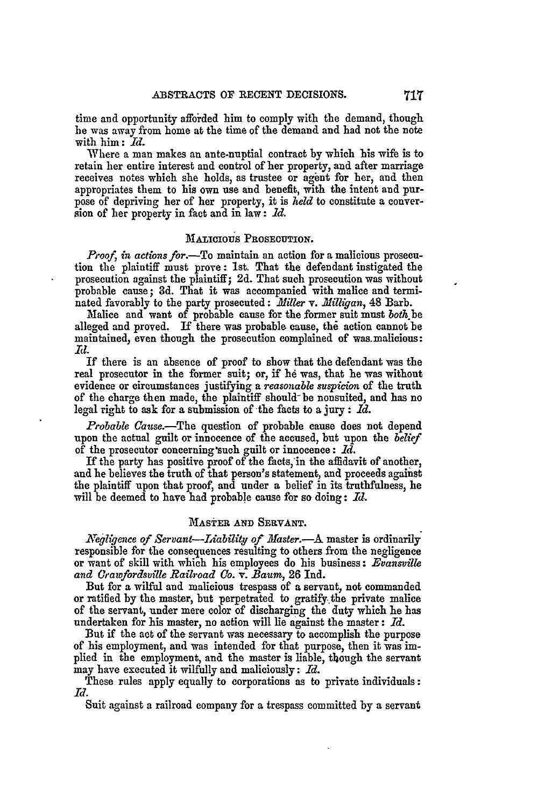time and opportunity affoided him to comply with the demand, though he was away from home at the time of the demand and had not the note with him: *Id.*

Where a man makes an ante-nuptial contract by which his wife is to retain her entire interest and control of her property, and after marriage receives notes which she holds, as trustee or agent for her, and then appropriates them to his own use and benefit, with the intent and purpose of depriving her of her property, it is *held* to constitute a conversion of her property in fact and in law: *1d.*

## MAlIcIous **PROSECUTION.**

*Proof, in actions for.*—To maintain an action for a malicious prosecution the plaintiff must prove: 1st. That the defendant instigated the prosecution against the plaintiff; 2d. That such prosecution was without probable cause; **3d.** That it was accompanied with malice and terminated favorably to the party prosecuted: *Miller v. Milligan,* 48 Barb.

Malice and want of probable cause for the former suit must *both.be* alleged and proved. If there was probable cause, the action cannot be maintained, even though the prosecution complained of was.malicious: *Ild.*

If there is an absence of proof to show that the defendant was the real prosecutor in the former suit; or, if he was, that he was without evidence or circumstances justifying a *reasonable supicion* of the truth of the charge then made, the plaintiff should" be nonsuited, and has no legal right to ask for a submission of the facts to a jury: *Id.*

*Probable Cause.-The* question of probable cause does not depend upon the actual guilt or innocence of the accused, but upon the *belief* of the prosecutor concerning\*such guilt or innocence: *7d.*

If the party has positive proof of the facts,'in the affidavit of another, and he believes the truth of that person's statement, and proceeds against the plaintiff upon that proof, and under a belief in its truthfulness, he will be deemed to have had probable cause for so doing: *Id.*

## **MASTER AND SERVANT.**

*Negligence of Servant-Liability of Master.*-A master is ordinarily responsible for the consequences resulting to others from the negligence or want of skill with which his employees do his business: *Evansville and Crawfordsville Railroad Co. v. Baum,* 26 Ind.

But for a wilful and malicious trespass of a servant, not commanded or ratified **by** the master, but perpetrated to gratify the private malice of the servant, under mere color of discharging the duty which he has undertaken for his master, no action will lie against the master: *Id.*

But if the act of the servant was necessary to accomplish the purpose of his employment, and was intended for that purpose, then it was implied in the employment, and the master is liable, though the servant may have executed it wilfully and maliciously: *Id.*

These rules apply equally to corporations as to private individuals: *Id.*

Suit against a railroad company for a trespass committed **by** a servant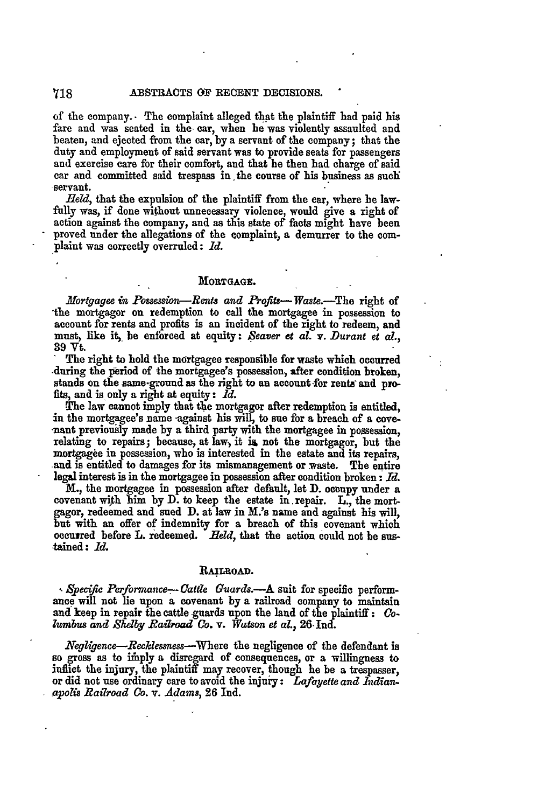of the company.- The complaint alleged that the plaintiff had paid his fare and was seated in the car, when he was violently assaulted and beaten, and ejected from the car, **by** a servant of the company; that the duty and employment of said servant was to provide seats for passengers and exercise care for their comfort, and that he then had charge of said **car** and committed said trespass in the course of his business as such servant.

*Beid,* that the expulsion of the plaintiff from the car, where he lawfully was, if done without unnecessary violence, would give **a** right of action against the company, and as this state of facts might have been proved under the allegations of the complaint, a demurrer to the complaint was correctly overruled: *1d.*

## **MORTGAGE.**

*Mortgagee in Possession-Rents and Profits-Waste.-The* right **of** 'the mortgagor on redemption to call the mortgagee in possession to account for rents and profits is an incident of the right to redeem, and must, like it. be enforced at equity: *Beaver et* al. v. *Durant et al.,* **39** Vt.

The right to hold the mortgagee responsible for waste which occurred .during the period of the mortgagee's possession, after condition broken, stands on the same-ground as the right to an account for rents and profits, and is only a right at equity: *Id.*

-The law cannot imply that the mortgagor after redemption is **entitled,** in the mortgagee's name against his will, to sue for a breach of a cove-nant previously made by a third party with the mortgagee in possession, relating to repairs; because, at law, it is not the mortgagor, but the mortgagee in possession, who is interested in the estate and its repairs, and is entitled to damages for its mismanagement or waste. The entire

legal interest is in the mortgagee in possession after condition broken **:** *Id.* M., the mortgagee in possession after default, let D. occupy under a covenant with him by D. to keep the estate in repair. L., the mortgagor, redeemed and sued **D.** at law in M.'s name and against his will, but with an offer of indemnity for a breach of this covenant which occurred before L. redeemed. *Held*, that the action could not be sustained: *Id.*

## **RAILROAD.**

*'i pecific Performance-. Cattle Guards.-A* suit for specific perform- ance will not **lie** upon a covenant **by** a railroad company to maintain and keep in repair the cattle guards upon the land of the plaintiff: *Co-Zumbus and Shdby Railroad Co. v. Watson et al.,* 26,Ind.

*Negligence-Recklessness-Where* the negligence of the defendant is so gross as to iiaply a disregard of consequences, or a willingness to inflict the injury, the plaintiff may recover, though he be a trespasser, or did not use ordinary care to avoid the injury: *Lafayette and Indianapolis Railroad Co. v. Adams,* **26 Ind.**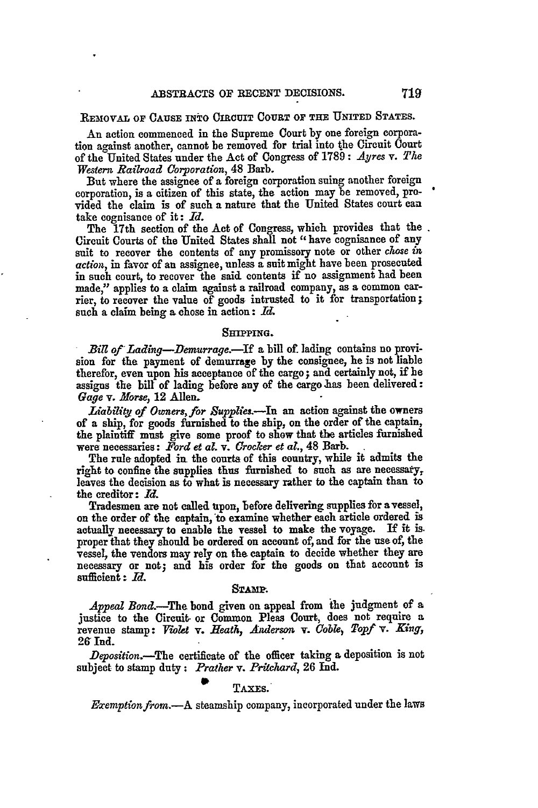# REMOVAL OF CAUSE INTO CIRCUIT COURT OF THE UNITED STATES.

An action commenced in the Supreme Court **by** one foreign corporation against another, cannot be removed for trial into the Circuit Court of the United States under the Act of Congress of **1789:** *Ayres* v. *The Western Railroad Corporation,* 48 Barb.

But where the assignee of a foreign corporation suing another foreign corporation, is a citizen of this state, the action may be removed, provided the claim is of such a nature that the United States court can take cognisance of it: *Id.*

The 17th section of the Act of Congress, which provides that the. Circuit Courts of the United States shall not "have cognisance of any suit to recover the contents of any promissory note or other *chose in action,* in favor of an assignee, unless a suit might have been prosecuted in such court, to recover the said contents if no assignment had been made," applies to a claim against a railroad company, as a common carrier, to recover the value of goods intrusted to it for transportation; such a claim being **a** chose in action: *Id.*

#### **SHIPPING.**

*Bill of'Lading-Demurrage,-If* **a** bill of. lading contains no provision for the payment of demurrage **by** the consignee, he is not liable therefor, even upon his acceptance of the cargo; and certainly not, if he assigns the bill of lading before any of the cargo has been delivered: *Gage v. Morse,* 12 Allen.

*Liability of Owners, for Supplies.*-In an action against the owners of a ship, for goods furnished to the ship, on the order of the captain, the plaintiff must give some proof to show that the articles furnished were necessaries: *Ford et al.* v. *Crocler et al.*, 48 Barb.

The rule adopted in the courts of this country, while it admits the right to confine the supplies thus furnished to such as are necessary<sub>7</sub> eaves the decision as **to what is** necessary **rather** to the captain than to the creditor: *Id.*

Tradesmen are not called **upon,** before delivering supplies for a vessel, on the order of the captain, 'to examine whether each article ordered is actually necessary to enable the vessel to make the voyage. **If** it is. proper that they should be ordered on account of, and for the use of, the vessel, the vendors may rely on the captain to decide whether they are necessary or not; and his order for the goods on that account is sufficient: *Id.*

#### **STAMI.**

*Appeal Bond.-The* bond given on appeal from the judgment of a justice to the Circuit or Common Pleas Court, does not require a revenue stamp: Violet v. Heath, Anderson v. Coble, Topf v. King, 2g Ind.

*Depositon.-The* certificate of the officer taking **a** deposition is not subject to stamp duty: *Prather v. Pritchard,* **26 Ind.**

## TAXES.

*Exemptionfrom.-A* steamship company, incorporated under the laws